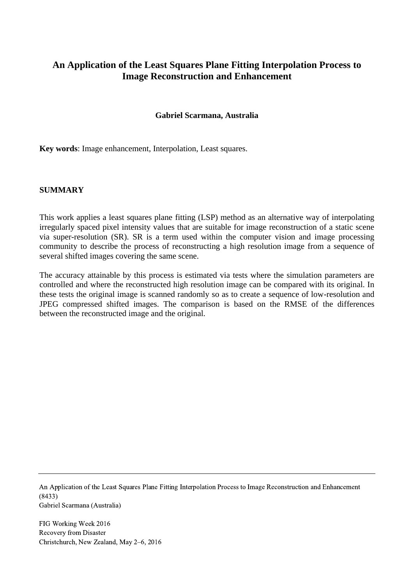# **An Application of the Least Squares Plane Fitting Interpolation Process to Image Reconstruction and Enhancement**

#### **Gabriel Scarmana, Australia**

**Key words**: Image enhancement, Interpolation, Least squares.

#### **SUMMARY**

This work applies a least squares plane fitting (LSP) method as an alternative way of interpolating irregularly spaced pixel intensity values that are suitable for image reconstruction of a static scene via super-resolution (SR). SR is a term used within the computer vision and image processing community to describe the process of reconstructing a high resolution image from a sequence of several shifted images covering the same scene.

The accuracy attainable by this process is estimated via tests where the simulation parameters are controlled and where the reconstructed high resolution image can be compared with its original. In these tests the original image is scanned randomly so as to create a sequence of low-resolution and JPEG compressed shifted images. The comparison is based on the RMSE of the differences between the reconstructed image and the original.

An Application of the Least Squares Plane Fitting Interpolation Process to Image Reconstruction and Enhancement (8433) Gabriel Scarmana (Australia)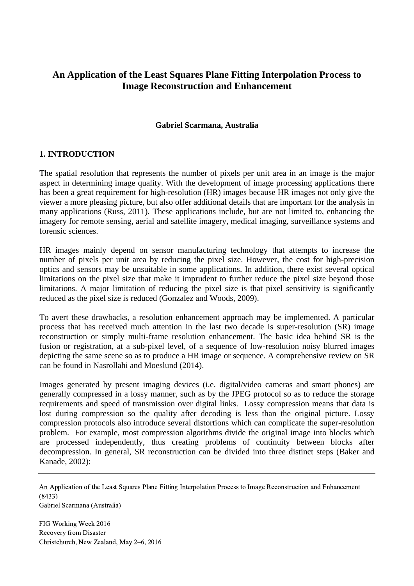# **An Application of the Least Squares Plane Fitting Interpolation Process to Image Reconstruction and Enhancement**

#### **Gabriel Scarmana, Australia**

# **1. INTRODUCTION**

The spatial resolution that represents the number of pixels per unit area in an image is the major aspect in determining image quality. With the development of image processing applications there has been a great requirement for high-resolution (HR) images because HR images not only give the viewer a more pleasing picture, but also offer additional details that are important for the analysis in many applications (Russ, 2011). These applications include, but are not limited to, enhancing the imagery for remote sensing, aerial and satellite imagery, medical imaging, surveillance systems and forensic sciences.

HR images mainly depend on sensor manufacturing technology that attempts to increase the number of pixels per unit area by reducing the pixel size. However, the cost for high-precision optics and sensors may be unsuitable in some applications. In addition, there exist several optical limitations on the pixel size that make it imprudent to further reduce the pixel size beyond those limitations. A major limitation of reducing the pixel size is that pixel sensitivity is significantly reduced as the pixel size is reduced (Gonzalez and Woods, 2009).

To avert these drawbacks, a resolution enhancement approach may be implemented. A particular process that has received much attention in the last two decade is super-resolution (SR) image reconstruction or simply multi-frame resolution enhancement. The basic idea behind SR is the fusion or registration, at a sub-pixel level, of a sequence of low-resolution noisy blurred images depicting the same scene so as to produce a HR image or sequence. A comprehensive review on SR can be found in Nasrollahi and Moeslund (2014).

Images generated by present imaging devices (i.e. digital/video cameras and smart phones) are generally compressed in a lossy manner, such as by the JPEG protocol so as to reduce the storage requirements and speed of transmission over digital links. Lossy compression means that data is lost during compression so the quality after decoding is less than the original picture. Lossy compression protocols also introduce several distortions which can complicate the super-resolution problem. For example, most compression algorithms divide the original image into blocks which are processed independently, thus creating problems of continuity between blocks after decompression. In general, SR reconstruction can be divided into three distinct steps (Baker and Kanade, 2002):

An Application of the Least Squares Plane Fitting Interpolation Process to Image Reconstruction and Enhancement (8433) Gabriel Scarmana (Australia)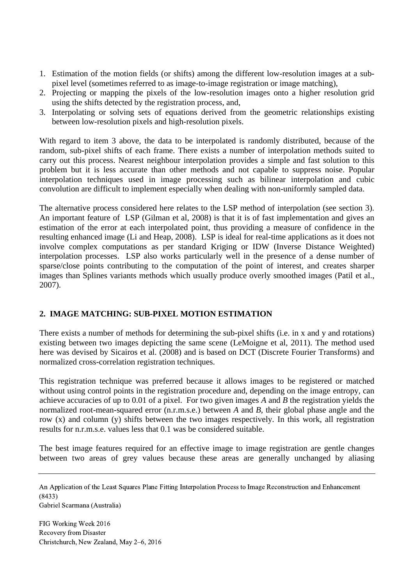- 1. Estimation of the motion fields (or shifts) among the different low-resolution images at a subpixel level (sometimes referred to as image-to-image registration or image matching),
- 2. Projecting or mapping the pixels of the low-resolution images onto a higher resolution grid using the shifts detected by the registration process, and,
- 3. Interpolating or solving sets of equations derived from the geometric relationships existing between low-resolution pixels and high-resolution pixels.

With regard to item 3 above, the data to be interpolated is randomly distributed, because of the random, sub-pixel shifts of each frame. There exists a number of interpolation methods suited to carry out this process. Nearest neighbour interpolation provides a simple and fast solution to this problem but it is less accurate than other methods and not capable to suppress noise. Popular interpolation techniques used in image processing such as bilinear interpolation and cubic convolution are difficult to implement especially when dealing with non-uniformly sampled data.

The alternative process considered here relates to the LSP method of interpolation (see section 3). An important feature of LSP (Gilman et al, 2008) is that it is of fast implementation and gives an estimation of the error at each interpolated point, thus providing a measure of confidence in the resulting enhanced image (Li and Heap, 2008). LSP is ideal for real-time applications as it does not involve complex computations as per standard Kriging or IDW (Inverse Distance Weighted) interpolation processes. LSP also works particularly well in the presence of a dense number of sparse/close points contributing to the computation of the point of interest, and creates sharper images than Splines variants methods which usually produce overly smoothed images (Patil et al., 2007).

# **2. IMAGE MATCHING: SUB-PIXEL MOTION ESTIMATION**

There exists a number of methods for determining the sub-pixel shifts (i.e. in x and y and rotations) existing between two images depicting the same scene (LeMoigne et al, 2011). The method used here was devised by Sicairos et al. (2008) and is based on DCT (Discrete Fourier Transforms) and normalized cross-correlation registration techniques.

This registration technique was preferred because it allows images to be registered or matched without using control points in the registration procedure and, depending on the image entropy, can achieve accuracies of up to 0.01 of a pixel. For two given images *A* and *B* the registration yields the normalized root-mean-squared error (n.r.m.s.e.) between *A* and *B*, their global phase angle and the row (x) and column (y) shifts between the two images respectively. In this work, all registration results for n.r.m.s.e. values less that 0.1 was be considered suitable.

The best image features required for an effective image to image registration are gentle changes between two areas of grey values because these areas are generally unchanged by aliasing

An Application of the Least Squares Plane Fitting Interpolation Process to Image Reconstruction and Enhancement (8433)

Gabriel Scarmana (Australia)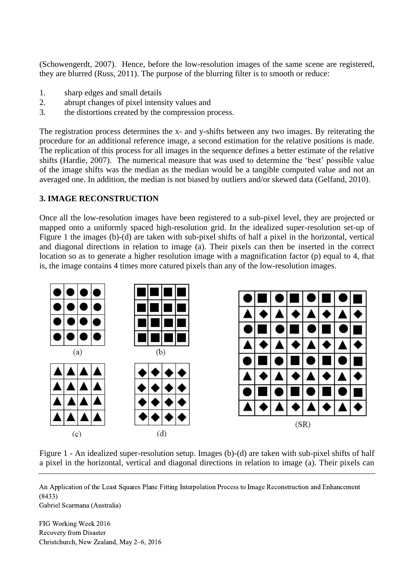(Schowengerdt, 2007). Hence, before the low-resolution images of the same scene are registered, they are blurred (Russ, 2011). The purpose of the blurring filter is to smooth or reduce:

- 1. sharp edges and small details
- 2. abrupt changes of pixel intensity values and
- 3. the distortions created by the compression process.

The registration process determines the x- and y-shifts between any two images. By reiterating the procedure for an additional reference image, a second estimation for the relative positions is made. The replication of this process for all images in the sequence defines a better estimate of the relative shifts (Hardie, 2007). The numerical measure that was used to determine the 'best' possible value of the image shifts was the median as the median would be a tangible computed value and not an averaged one. In addition, the median is not biased by outliers and/or skewed data (Gelfand, 2010).

# **3. IMAGE RECONSTRUCTION**

Once all the low-resolution images have been registered to a sub-pixel level, they are projected or mapped onto a uniformly spaced high-resolution grid. In the idealized super-resolution set-up of Figure 1 the images (b)-(d) are taken with sub-pixel shifts of half a pixel in the horizontal, vertical and diagonal directions in relation to image (a). Their pixels can then be inserted in the correct location so as to generate a higher resolution image with a magnification factor (p) equal to 4, that is, the image contains 4 times more catured pixels than any of the low-resolution images.



Figure 1 - An idealized super-resolution setup. Images (b)-(d) are taken with sub-pixel shifts of half a pixel in the horizontal, vertical and diagonal directions in relation to image (a). Their pixels can

An Application of the Least Squares Plane Fitting Interpolation Process to Image Reconstruction and Enhancement (8433)

Gabriel Scarmana (Australia)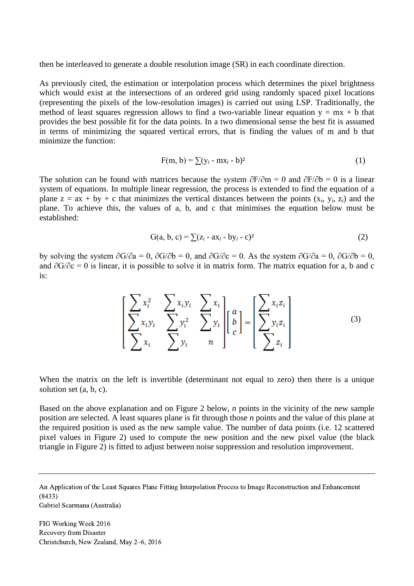then be interleaved to generate a double resolution image (SR) in each coordinate direction.

As previously cited, the estimation or interpolation process which determines the pixel brightness which would exist at the intersections of an ordered grid using randomly spaced pixel locations (representing the pixels of the low-resolution images) is carried out using LSP. Traditionally, the method of least squares regression allows to find a two-variable linear equation  $y = mx + b$  that provides the best possible fit for the data points. In a two dimensional sense the best fit is assumed in terms of minimizing the squared vertical errors, that is finding the values of m and b that minimize the function:

$$
F(m, b) = \sum (y_i - mx_i - b)^2
$$
 (1)

The solution can be found with matrices because the system  $\frac{\partial F}{\partial m} = 0$  and  $\frac{\partial F}{\partial b} = 0$  is a linear system of equations. In multiple linear regression, the process is extended to find the equation of a plane  $z = ax + by + c$  that minimizes the vertical distances between the points  $(x_i, y_i, z_i)$  and the plane. To achieve this, the values of a, b, and c that minimises the equation below must be established:

$$
G(a, b, c) = \sum (z_i - ax_i - by_i - c)^2
$$
 (2)

by solving the system  $\partial G/\partial a = 0$ ,  $\partial G/\partial b = 0$ , and  $\partial G/\partial c = 0$ . As the system  $\partial G/\partial a = 0$ ,  $\partial G/\partial b = 0$ , and ∂G/∂c = 0 is linear, it is possible to solve it in matrix form. The matrix equation for a, b and c is:

$$
\left[\begin{array}{ccc} \sum x_i^2 & \sum x_i y_i & \sum x_i \\ \sum x_i y_i & \sum y_i^2 & \sum y_i \\ \sum x_i & \sum y_i & n \end{array}\right] \left[\begin{array}{c} a \\ b \\ c \end{array}\right] = \left[\begin{array}{c} \sum x_i z_i \\ \sum y_i z_i \\ \sum z_i \end{array}\right] \tag{3}
$$

When the matrix on the left is invertible (determinant not equal to zero) then there is a unique solution set (a, b, c).

Based on the above explanation and on Figure 2 below, *n* points in the vicinity of the new sample position are selected. A least squares plane is fit through those *n* points and the value of this plane at the required position is used as the new sample value. The number of data points (i.e. 12 scattered pixel values in Figure 2) used to compute the new position and the new pixel value (the black triangle in Figure 2) is fitted to adjust between noise suppression and resolution improvement.

An Application of the Least Squares Plane Fitting Interpolation Process to Image Reconstruction and Enhancement (8433)

Gabriel Scarmana (Australia)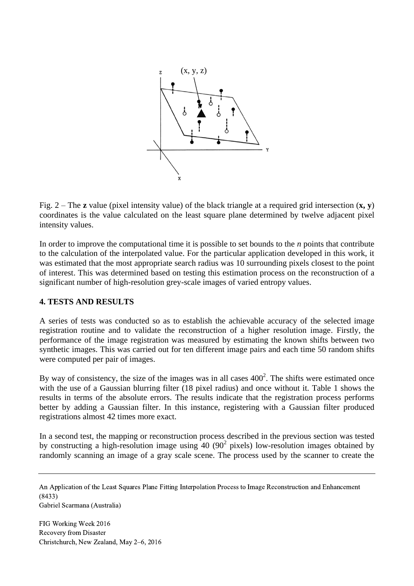

Fig. 2 – The **z** value (pixel intensity value) of the black triangle at a required grid intersection  $(\mathbf{x}, \mathbf{v})$ coordinates is the value calculated on the least square plane determined by twelve adjacent pixel intensity values.

In order to improve the computational time it is possible to set bounds to the *n* points that contribute to the calculation of the interpolated value. For the particular application developed in this work, it was estimated that the most appropriate search radius was 10 surrounding pixels closest to the point of interest. This was determined based on testing this estimation process on the reconstruction of a significant number of high-resolution grey-scale images of varied entropy values.

# **4. TESTS AND RESULTS**

A series of tests was conducted so as to establish the achievable accuracy of the selected image registration routine and to validate the reconstruction of a higher resolution image. Firstly, the performance of the image registration was measured by estimating the known shifts between two synthetic images. This was carried out for ten different image pairs and each time 50 random shifts were computed per pair of images.

By way of consistency, the size of the images was in all cases  $400<sup>2</sup>$ . The shifts were estimated once with the use of a Gaussian blurring filter (18 pixel radius) and once without it. Table 1 shows the results in terms of the absolute errors. The results indicate that the registration process performs better by adding a Gaussian filter. In this instance, registering with a Gaussian filter produced registrations almost 42 times more exact.

In a second test, the mapping or reconstruction process described in the previous section was tested by constructing a high-resolution image using  $40(90^2)$  pixels) low-resolution images obtained by randomly scanning an image of a gray scale scene. The process used by the scanner to create the

An Application of the Least Squares Plane Fitting Interpolation Process to Image Reconstruction and Enhancement (8433)

Gabriel Scarmana (Australia)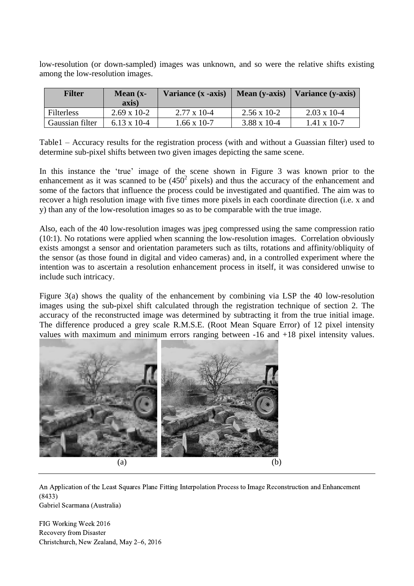low-resolution (or down-sampled) images was unknown, and so were the relative shifts existing among the low-resolution images.

| <b>Filter</b>   | Mean $(x-$<br>axis)   | Variance (x -axis) | Mean (y-axis)         | Variance (y-axis)     |
|-----------------|-----------------------|--------------------|-----------------------|-----------------------|
| Filterless      | $2.69 \times 10^{-2}$ | $2.77 \times 10-4$ | $2.56 \times 10^{-2}$ | $2.03 \times 10^{-4}$ |
| Gaussian filter | $6.13 \times 10^{-4}$ | $1.66 \times 10-7$ | $3.88 \times 10^{-4}$ | $1.41 \times 10-7$    |

Table1 – Accuracy results for the registration process (with and without a Guassian filter) used to determine sub-pixel shifts between two given images depicting the same scene.

In this instance the 'true' image of the scene shown in Figure 3 was known prior to the enhancement as it was scanned to be  $(450^2 \text{ pixels})$  and thus the accuracy of the enhancement and some of the factors that influence the process could be investigated and quantified. The aim was to recover a high resolution image with five times more pixels in each coordinate direction (i.e. x and y) than any of the low-resolution images so as to be comparable with the true image.

Also, each of the 40 low-resolution images was jpeg compressed using the same compression ratio (10:1). No rotations were applied when scanning the low-resolution images. Correlation obviously exists amongst a sensor and orientation parameters such as tilts, rotations and affinity/obliquity of the sensor (as those found in digital and video cameras) and, in a controlled experiment where the intention was to ascertain a resolution enhancement process in itself, it was considered unwise to include such intricacy.

Figure 3(a) shows the quality of the enhancement by combining via LSP the 40 low-resolution images using the sub-pixel shift calculated through the registration technique of section 2. The accuracy of the reconstructed image was determined by subtracting it from the true initial image. The difference produced a grey scale R.M.S.E. (Root Mean Square Error) of 12 pixel intensity values with maximum and minimum errors ranging between -16 and +18 pixel intensity values.



An Application of the Least Squares Plane Fitting Interpolation Process to Image Reconstruction and Enhancement (8433) Gabriel Scarmana (Australia)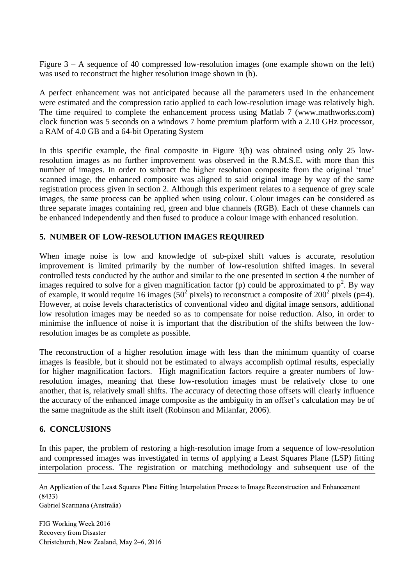Figure 3 – A sequence of 40 compressed low-resolution images (one example shown on the left) was used to reconstruct the higher resolution image shown in (b).

A perfect enhancement was not anticipated because all the parameters used in the enhancement were estimated and the compression ratio applied to each low-resolution image was relatively high. The time required to complete the enhancement process using Matlab 7 (www.mathworks.com) clock function was 5 seconds on a windows 7 home premium platform with a 2.10 GHz processor, a RAM of 4.0 GB and a 64-bit Operating System

In this specific example, the final composite in Figure 3(b) was obtained using only 25 lowresolution images as no further improvement was observed in the R.M.S.E. with more than this number of images. In order to subtract the higher resolution composite from the original 'true' scanned image, the enhanced composite was aligned to said original image by way of the same registration process given in section 2. Although this experiment relates to a sequence of grey scale images, the same process can be applied when using colour. Colour images can be considered as three separate images containing red, green and blue channels (RGB). Each of these channels can be enhanced independently and then fused to produce a colour image with enhanced resolution.

#### **5. NUMBER OF LOW-RESOLUTION IMAGES REQUIRED**

When image noise is low and knowledge of sub-pixel shift values is accurate, resolution improvement is limited primarily by the number of low-resolution shifted images. In several controlled tests conducted by the author and similar to the one presented in section 4 the number of images required to solve for a given magnification factor (p) could be approximated to  $p^2$ . By way of example, it would require 16 images ( $50^2$  pixels) to reconstruct a composite of  $200^2$  pixels (p=4). However, at noise levels characteristics of conventional video and digital image sensors, additional low resolution images may be needed so as to compensate for noise reduction. Also, in order to minimise the influence of noise it is important that the distribution of the shifts between the lowresolution images be as complete as possible.

The reconstruction of a higher resolution image with less than the minimum quantity of coarse images is feasible, but it should not be estimated to always accomplish optimal results, especially for higher magnification factors. High magnification factors require a greater numbers of lowresolution images, meaning that these low-resolution images must be relatively close to one another, that is, relatively small shifts. The accuracy of detecting those offsets will clearly influence the accuracy of the enhanced image composite as the ambiguity in an offset's calculation may be of the same magnitude as the shift itself (Robinson and Milanfar, 2006).

#### **6. CONCLUSIONS**

In this paper, the problem of restoring a high-resolution image from a sequence of low-resolution and compressed images was investigated in terms of applying a Least Squares Plane (LSP) fitting interpolation process. The registration or matching methodology and subsequent use of the

An Application of the Least Squares Plane Fitting Interpolation Process to Image Reconstruction and Enhancement (8433) Gabriel Scarmana (Australia)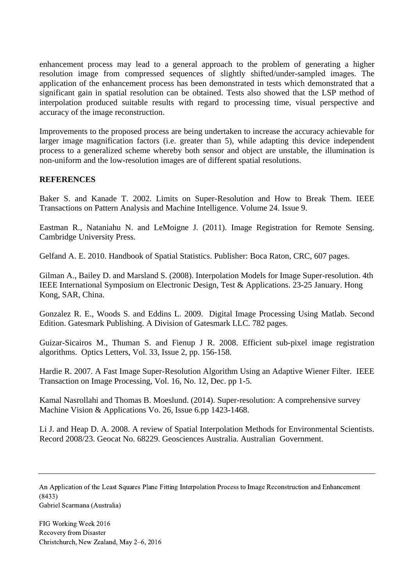enhancement process may lead to a general approach to the problem of generating a higher resolution image from compressed sequences of slightly shifted/under-sampled images. The application of the enhancement process has been demonstrated in tests which demonstrated that a significant gain in spatial resolution can be obtained. Tests also showed that the LSP method of interpolation produced suitable results with regard to processing time, visual perspective and accuracy of the image reconstruction.

Improvements to the proposed process are being undertaken to increase the accuracy achievable for larger image magnification factors (i.e. greater than 5), while adapting this device independent process to a generalized scheme whereby both sensor and object are unstable, the illumination is non-uniform and the low-resolution images are of different spatial resolutions.

# **REFERENCES**

Baker S. and Kanade T. 2002. Limits on Super-Resolution and How to Break Them. IEEE Transactions on Pattern Analysis and Machine Intelligence. Volume 24. Issue 9.

Eastman R., Nataniahu N. and LeMoigne J. (2011). Image Registration for Remote Sensing. Cambridge University Press.

Gelfand A. E. 2010. Handbook of Spatial Statistics. Publisher: Boca Raton, CRC, 607 pages.

Gilman A., Bailey D. and Marsland S. (2008). Interpolation Models for Image Super-resolution. 4th IEEE International Symposium on Electronic Design, Test & Applications. 23-25 January. Hong Kong, SAR, China.

Gonzalez R. E., Woods S. and Eddins L. 2009. Digital Image Processing Using Matlab. Second Edition. Gatesmark Publishing. A Division of Gatesmark LLC. 782 pages.

[Guizar-Sicairos](javascript:searchAuthor() M., Thuman S. and Fienup [J R.](javascript:searchAuthor() 2008. Efficient sub-pixel image registration algorithms. Optics Letters, Vol. 33, Issue 2, pp. 156-158.

Hardie R. 2007. A Fast Image Super-Resolution Algorithm Using an Adaptive Wiener Filter. IEEE Transaction on Image Processing, Vol. 16, No. 12, Dec. pp 1-5.

Kamal Nasrollahi and Thomas B. Moeslund. (2014). Super-resolution: A comprehensive survey Machine Vision & Applications Vo. 26, Issue 6.pp 1423-1468.

Li J. and Heap D. A. 2008. A review of Spatial Interpolation Methods for Environmental Scientists. Record 2008/23. Geocat No. 68229. Geosciences Australia. Australian Government.

Gabriel Scarmana (Australia)

An Application of the Least Squares Plane Fitting Interpolation Process to Image Reconstruction and Enhancement (8433)